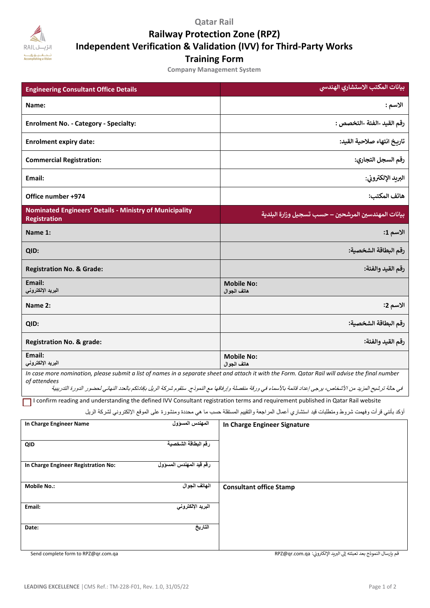**Qatar Rail**

**Railway Protection Zone (RPZ)**

**Independent Verification & Validation (IVV) for Third-Party Works**

**Training Form**

**Company Management System**

| <b>Engineering Consultant Office Details</b>                                                                                                                                                                                                                                                                                      | بيانات المكتب الاستشاري الهندسي                     |  |
|-----------------------------------------------------------------------------------------------------------------------------------------------------------------------------------------------------------------------------------------------------------------------------------------------------------------------------------|-----------------------------------------------------|--|
| Name:                                                                                                                                                                                                                                                                                                                             | الاسم :                                             |  |
| <b>Enrolment No. - Category - Specialty:</b>                                                                                                                                                                                                                                                                                      | رقم القيد -الفئة -التخصص :                          |  |
| <b>Enrolment expiry date:</b>                                                                                                                                                                                                                                                                                                     | تاريخ انتهاء صلاحية القيد:                          |  |
| <b>Commercial Registration:</b>                                                                                                                                                                                                                                                                                                   | رقم السجل التجاري:                                  |  |
| Email:                                                                                                                                                                                                                                                                                                                            | البريد الإلكتروني:                                  |  |
| Office number +974                                                                                                                                                                                                                                                                                                                | هاتف المكتب:                                        |  |
| <b>Nominated Engineers' Details - Ministry of Municipality</b><br><b>Registration</b>                                                                                                                                                                                                                                             | بيانات المهندسين المرشحين – حسب تسجيل وزارة البلدية |  |
| Name 1:                                                                                                                                                                                                                                                                                                                           | الاسم 1:                                            |  |
| QID:                                                                                                                                                                                                                                                                                                                              | رقم البطاقة الشخصية:                                |  |
| <b>Registration No. &amp; Grade:</b>                                                                                                                                                                                                                                                                                              | رقم القيد والفئة:                                   |  |
| Email:<br>البريد الإلكتروني                                                                                                                                                                                                                                                                                                       | <b>Mobile No:</b><br>هاتف الجوال                    |  |
| Name 2:                                                                                                                                                                                                                                                                                                                           | الاسم 2:                                            |  |
| QID:                                                                                                                                                                                                                                                                                                                              | رقم البطاقة الشخصية:                                |  |
| <b>Registration No. &amp; grade:</b>                                                                                                                                                                                                                                                                                              | رقم القيد والفئة:                                   |  |
| Email:<br>البريد الإلكتروني                                                                                                                                                                                                                                                                                                       | <b>Mobile No:</b><br>هاتف الجوال                    |  |
| In case more nomination, please submit a list of names in a separate sheet and attach it with the Form. Qatar Rail will advise the final number<br>of attendees<br>في حالة ترشيح المزيد من الأشخاص، يرجى إعداد قائمة بالأسماء في ورقة منفصلة وإرفاقها مع النموذج. ستقوم شركة الريل بإفادتكم بالعدد النهائي لحضور الدورة التدريبية |                                                     |  |

I confirm reading and understanding the defined IVV Consultant registration terms and requirement published in Qatar Rail website

أوكد بأنني قرأت وفهمت شروط ومتطلبات قيد استشاري أعمال المراجعة والتقييم المستقلة حسب ما هي محددة ومنشورة على الموقع الإلكتروني لشركة الريل

| In Charge Engineer Name             | المهندس المسؤول         | In Charge Engineer Signature   |
|-------------------------------------|-------------------------|--------------------------------|
| QID                                 | رقم البطاقة الشخصية     |                                |
| In Charge Engineer Registration No: | رقم قيد المهندس المسؤول |                                |
| <b>Mobile No.:</b>                  | الهاتف الجوال           | <b>Consultant office Stamp</b> |
| Email:                              | البريد الإلكتروني       |                                |
|                                     |                         |                                |
| Date:                               | التاريخ                 |                                |
|                                     |                         |                                |

Send complete form to RPZ@qr.com.qa RPZ@qr.com.qa : قم <sup>ر</sup> بإرسال النموذج بعد تعبئته إىل البيد اإللكب <sup>ر</sup> ون ي